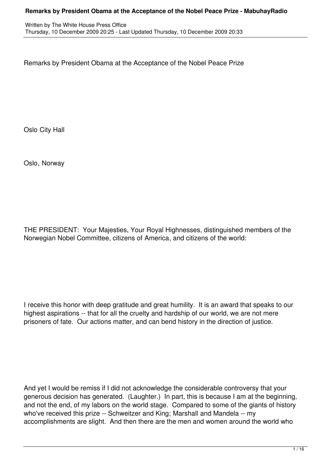Remarks by President Obama at the Acceptance of the Nobel Peace Prize

Oslo City Hall

Oslo, Norway

THE PRESIDENT: Your Majesties, Your Royal Highnesses, distinguished members of the Norwegian Nobel Committee, citizens of America, and citizens of the world:

I receive this honor with deep gratitude and great humility. It is an award that speaks to our highest aspirations -- that for all the cruelty and hardship of our world, we are not mere prisoners of fate. Our actions matter, and can bend history in the direction of justice.

And yet I would be remiss if I did not acknowledge the considerable controversy that your generous decision has generated. (Laughter.) In part, this is because I am at the beginning, and not the end, of my labors on the world stage. Compared to some of the giants of history who've received this prize -- Schweitzer and King; Marshall and Mandela -- my accomplishments are slight. And then there are the men and women around the world who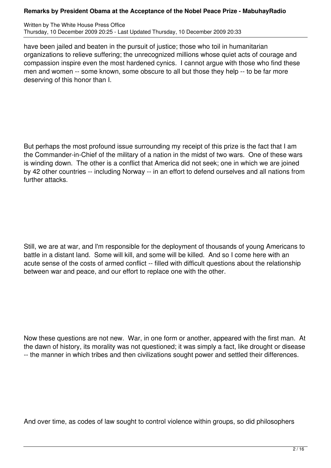Written by The White House Press Office Thursday, 10 December 2009 20:25 - Last Updated Thursday, 10 December 2009 20:33

have been jailed and beaten in the pursuit of justice; those who toil in humanitarian organizations to relieve suffering; the unrecognized millions whose quiet acts of courage and compassion inspire even the most hardened cynics. I cannot argue with those who find these men and women -- some known, some obscure to all but those they help -- to be far more deserving of this honor than I.

But perhaps the most profound issue surrounding my receipt of this prize is the fact that I am the Commander-in-Chief of the military of a nation in the midst of two wars. One of these wars is winding down. The other is a conflict that America did not seek; one in which we are joined by 42 other countries -- including Norway -- in an effort to defend ourselves and all nations from further attacks.

Still, we are at war, and I'm responsible for the deployment of thousands of young Americans to battle in a distant land. Some will kill, and some will be killed. And so I come here with an acute sense of the costs of armed conflict -- filled with difficult questions about the relationship between war and peace, and our effort to replace one with the other.

Now these questions are not new. War, in one form or another, appeared with the first man. At the dawn of history, its morality was not questioned; it was simply a fact, like drought or disease -- the manner in which tribes and then civilizations sought power and settled their differences.

And over time, as codes of law sought to control violence within groups, so did philosophers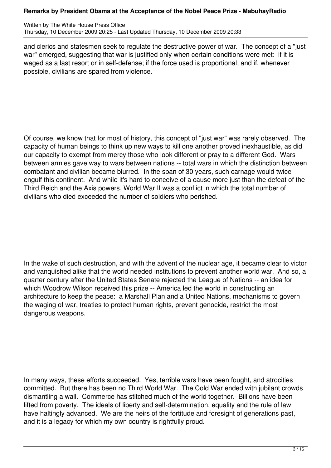Written by The White House Press Office Thursday, 10 December 2009 20:25 - Last Updated Thursday, 10 December 2009 20:33

and clerics and statesmen seek to regulate the destructive power of war. The concept of a "just war" emerged, suggesting that war is justified only when certain conditions were met: if it is waged as a last resort or in self-defense; if the force used is proportional; and if, whenever possible, civilians are spared from violence.

Of course, we know that for most of history, this concept of "just war" was rarely observed. The capacity of human beings to think up new ways to kill one another proved inexhaustible, as did our capacity to exempt from mercy those who look different or pray to a different God. Wars between armies gave way to wars between nations -- total wars in which the distinction between combatant and civilian became blurred. In the span of 30 years, such carnage would twice engulf this continent. And while it's hard to conceive of a cause more just than the defeat of the Third Reich and the Axis powers, World War II was a conflict in which the total number of civilians who died exceeded the number of soldiers who perished.

In the wake of such destruction, and with the advent of the nuclear age, it became clear to victor and vanquished alike that the world needed institutions to prevent another world war. And so, a quarter century after the United States Senate rejected the League of Nations -- an idea for which Woodrow Wilson received this prize -- America led the world in constructing an architecture to keep the peace: a Marshall Plan and a United Nations, mechanisms to govern the waging of war, treaties to protect human rights, prevent genocide, restrict the most dangerous weapons.

In many ways, these efforts succeeded. Yes, terrible wars have been fought, and atrocities committed. But there has been no Third World War. The Cold War ended with jubilant crowds dismantling a wall. Commerce has stitched much of the world together. Billions have been lifted from poverty. The ideals of liberty and self-determination, equality and the rule of law have haltingly advanced. We are the heirs of the fortitude and foresight of generations past, and it is a legacy for which my own country is rightfully proud.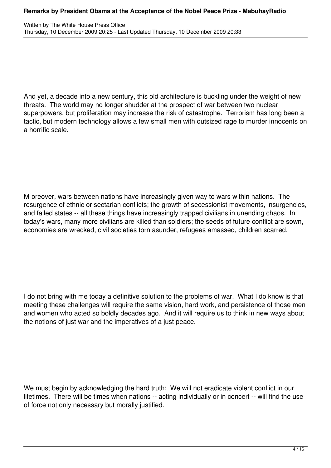And yet, a decade into a new century, this old architecture is buckling under the weight of new threats. The world may no longer shudder at the prospect of war between two nuclear superpowers, but proliferation may increase the risk of catastrophe. Terrorism has long been a tactic, but modern technology allows a few small men with outsized rage to murder innocents on a horrific scale.

M oreover, wars between nations have increasingly given way to wars within nations. The resurgence of ethnic or sectarian conflicts; the growth of secessionist movements, insurgencies, and failed states -- all these things have increasingly trapped civilians in unending chaos. In today's wars, many more civilians are killed than soldiers; the seeds of future conflict are sown, economies are wrecked, civil societies torn asunder, refugees amassed, children scarred.

I do not bring with me today a definitive solution to the problems of war. What I do know is that meeting these challenges will require the same vision, hard work, and persistence of those men and women who acted so boldly decades ago. And it will require us to think in new ways about the notions of just war and the imperatives of a just peace.

We must begin by acknowledging the hard truth: We will not eradicate violent conflict in our lifetimes. There will be times when nations -- acting individually or in concert -- will find the use of force not only necessary but morally justified.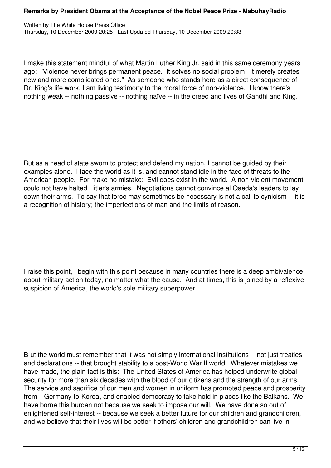I make this statement mindful of what Martin Luther King Jr. said in this same ceremony years ago: "Violence never brings permanent peace. It solves no social problem: it merely creates new and more complicated ones." As someone who stands here as a direct consequence of Dr. King's life work, I am living testimony to the moral force of non-violence. I know there's nothing weak -- nothing passive -- nothing naïve -- in the creed and lives of Gandhi and King.

But as a head of state sworn to protect and defend my nation, I cannot be guided by their examples alone. I face the world as it is, and cannot stand idle in the face of threats to the American people. For make no mistake: Evil does exist in the world. A non-violent movement could not have halted Hitler's armies. Negotiations cannot convince al Qaeda's leaders to lay down their arms. To say that force may sometimes be necessary is not a call to cynicism -- it is a recognition of history; the imperfections of man and the limits of reason.

I raise this point, I begin with this point because in many countries there is a deep ambivalence about military action today, no matter what the cause. And at times, this is joined by a reflexive suspicion of America, the world's sole military superpower.

B ut the world must remember that it was not simply international institutions -- not just treaties and declarations -- that brought stability to a post-World War II world. Whatever mistakes we have made, the plain fact is this: The United States of America has helped underwrite global security for more than six decades with the blood of our citizens and the strength of our arms. The service and sacrifice of our men and women in uniform has promoted peace and prosperity from Germany to Korea, and enabled democracy to take hold in places like the Balkans. We have borne this burden not because we seek to impose our will. We have done so out of enlightened self-interest -- because we seek a better future for our children and grandchildren, and we believe that their lives will be better if others' children and grandchildren can live in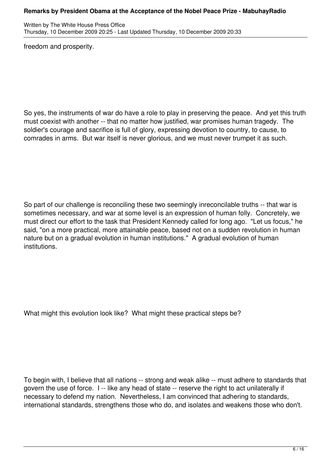freedom and prosperity.

So yes, the instruments of war do have a role to play in preserving the peace. And yet this truth must coexist with another -- that no matter how justified, war promises human tragedy. The soldier's courage and sacrifice is full of glory, expressing devotion to country, to cause, to comrades in arms. But war itself is never glorious, and we must never trumpet it as such.

So part of our challenge is reconciling these two seemingly inreconcilable truths -- that war is sometimes necessary, and war at some level is an expression of human folly. Concretely, we must direct our effort to the task that President Kennedy called for long ago. "Let us focus," he said, "on a more practical, more attainable peace, based not on a sudden revolution in human nature but on a gradual evolution in human institutions." A gradual evolution of human institutions.

What might this evolution look like? What might these practical steps be?

To begin with, I believe that all nations -- strong and weak alike -- must adhere to standards that govern the use of force. I -- like any head of state -- reserve the right to act unilaterally if necessary to defend my nation. Nevertheless, I am convinced that adhering to standards, international standards, strengthens those who do, and isolates and weakens those who don't.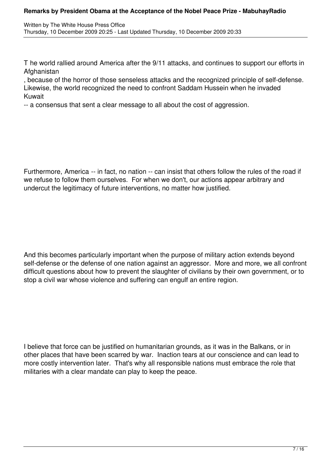T he world rallied around America after the 9/11 attacks, and continues to support our efforts in Afghanistan

, because of the horror of those senseless attacks and the recognized principle of self-defense. Likewise, the world recognized the need to confront Saddam Hussein when he invaded Kuwait

-- a consensus that sent a clear message to all about the cost of aggression.

Furthermore, America -- in fact, no nation -- can insist that others follow the rules of the road if we refuse to follow them ourselves. For when we don't, our actions appear arbitrary and undercut the legitimacy of future interventions, no matter how justified.

And this becomes particularly important when the purpose of military action extends beyond self-defense or the defense of one nation against an aggressor. More and more, we all confront difficult questions about how to prevent the slaughter of civilians by their own government, or to stop a civil war whose violence and suffering can engulf an entire region.

I believe that force can be justified on humanitarian grounds, as it was in the Balkans, or in other places that have been scarred by war. Inaction tears at our conscience and can lead to more costly intervention later. That's why all responsible nations must embrace the role that militaries with a clear mandate can play to keep the peace.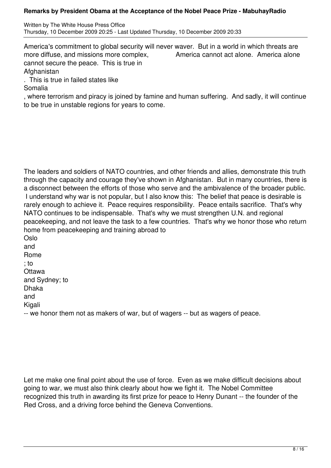Written by The White House Press Office Thursday, 10 December 2009 20:25 - Last Updated Thursday, 10 December 2009 20:33

America's commitment to global security will never waver. But in a world in which threats are more diffuse, and missions more complex, America cannot act alone. America alone cannot secure the peace. This is true in Afghanistan

. This is true in failed states like

Somalia

, where terrorism and piracy is joined by famine and human suffering. And sadly, it will continue to be true in unstable regions for years to come.

The leaders and soldiers of NATO countries, and other friends and allies, demonstrate this truth through the capacity and courage they've shown in Afghanistan. But in many countries, there is a disconnect between the efforts of those who serve and the ambivalence of the broader public. I understand why war is not popular, but I also know this: The belief that peace is desirable is rarely enough to achieve it. Peace requires responsibility. Peace entails sacrifice. That's why NATO continues to be indispensable. That's why we must strengthen U.N. and regional peacekeeping, and not leave the task to a few countries. That's why we honor those who return home from peacekeeping and training abroad to Oslo

and Rome ; to **Ottawa** and Sydney; to Dhaka and Kigali -- we honor them not as makers of war, but of wagers -- but as wagers of peace.

Let me make one final point about the use of force. Even as we make difficult decisions about going to war, we must also think clearly about how we fight it. The Nobel Committee recognized this truth in awarding its first prize for peace to Henry Dunant -- the founder of the Red Cross, and a driving force behind the Geneva Conventions.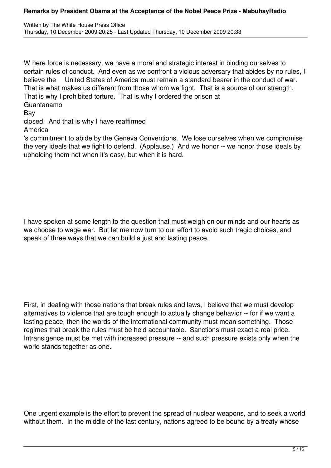W here force is necessary, we have a moral and strategic interest in binding ourselves to certain rules of conduct. And even as we confront a vicious adversary that abides by no rules, I believe the United States of America must remain a standard bearer in the conduct of war. That is what makes us different from those whom we fight. That is a source of our strength. That is why I prohibited torture. That is why I ordered the prison at Guantanamo

# Bay

closed. And that is why I have reaffirmed

# America

's commitment to abide by the Geneva Conventions. We lose ourselves when we compromise the very ideals that we fight to defend. (Applause.) And we honor -- we honor those ideals by upholding them not when it's easy, but when it is hard.

I have spoken at some length to the question that must weigh on our minds and our hearts as we choose to wage war. But let me now turn to our effort to avoid such tragic choices, and speak of three ways that we can build a just and lasting peace.

First, in dealing with those nations that break rules and laws, I believe that we must develop alternatives to violence that are tough enough to actually change behavior -- for if we want a lasting peace, then the words of the international community must mean something. Those regimes that break the rules must be held accountable. Sanctions must exact a real price. Intransigence must be met with increased pressure -- and such pressure exists only when the world stands together as one.

One urgent example is the effort to prevent the spread of nuclear weapons, and to seek a world without them. In the middle of the last century, nations agreed to be bound by a treaty whose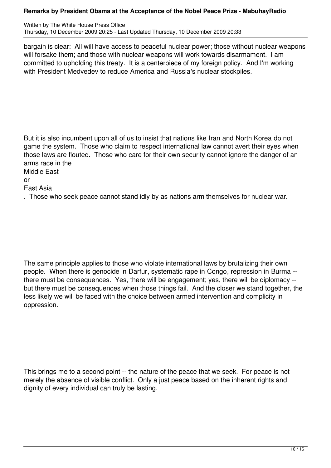Written by The White House Press Office Thursday, 10 December 2009 20:25 - Last Updated Thursday, 10 December 2009 20:33

bargain is clear: All will have access to peaceful nuclear power; those without nuclear weapons will forsake them; and those with nuclear weapons will work towards disarmament. I am committed to upholding this treaty. It is a centerpiece of my foreign policy. And I'm working with President Medvedev to reduce America and Russia's nuclear stockpiles.

But it is also incumbent upon all of us to insist that nations like Iran and North Korea do not game the system. Those who claim to respect international law cannot avert their eyes when those laws are flouted. Those who care for their own security cannot ignore the danger of an arms race in the

Middle East

or

East Asia

. Those who seek peace cannot stand idly by as nations arm themselves for nuclear war.

The same principle applies to those who violate international laws by brutalizing their own people. When there is genocide in Darfur, systematic rape in Congo, repression in Burma - there must be consequences. Yes, there will be engagement; yes, there will be diplomacy - but there must be consequences when those things fail. And the closer we stand together, the less likely we will be faced with the choice between armed intervention and complicity in oppression.

This brings me to a second point -- the nature of the peace that we seek. For peace is not merely the absence of visible conflict. Only a just peace based on the inherent rights and dignity of every individual can truly be lasting.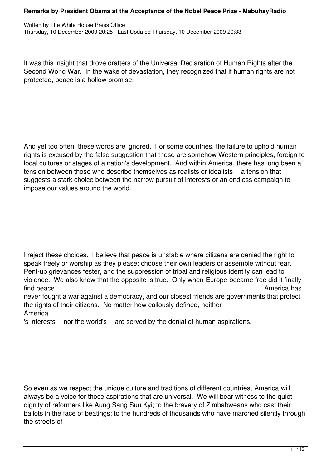It was this insight that drove drafters of the Universal Declaration of Human Rights after the Second World War. In the wake of devastation, they recognized that if human rights are not protected, peace is a hollow promise.

And yet too often, these words are ignored. For some countries, the failure to uphold human rights is excused by the false suggestion that these are somehow Western principles, foreign to local cultures or stages of a nation's development. And within America, there has long been a tension between those who describe themselves as realists or idealists -- a tension that suggests a stark choice between the narrow pursuit of interests or an endless campaign to impose our values around the world.

I reject these choices. I believe that peace is unstable where citizens are denied the right to speak freely or worship as they please; choose their own leaders or assemble without fear. Pent-up grievances fester, and the suppression of tribal and religious identity can lead to violence. We also know that the opposite is true. Only when Europe became free did it finally find peace. America has a structure of the structure of the structure of the structure of the structure of the structure of the structure of the structure of the structure of the structure of the structure of the structure

never fought a war against a democracy, and our closest friends are governments that protect the rights of their citizens. No matter how callously defined, neither America

's interests -- nor the world's -- are served by the denial of human aspirations.

So even as we respect the unique culture and traditions of different countries, America will always be a voice for those aspirations that are universal. We will bear witness to the quiet dignity of reformers like Aung Sang Suu Kyi; to the bravery of Zimbabweans who cast their ballots in the face of beatings; to the hundreds of thousands who have marched silently through the streets of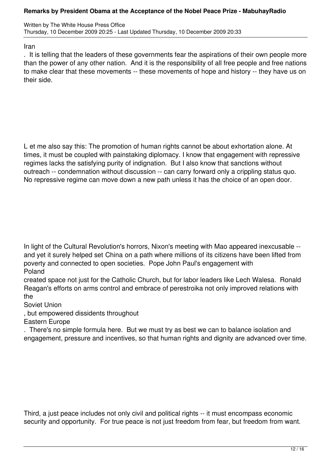Written by The White House Press Office Thursday, 10 December 2009 20:25 - Last Updated Thursday, 10 December 2009 20:33

Iran

. It is telling that the leaders of these governments fear the aspirations of their own people more than the power of any other nation. And it is the responsibility of all free people and free nations to make clear that these movements -- these movements of hope and history -- they have us on their side.

L et me also say this: The promotion of human rights cannot be about exhortation alone. At times, it must be coupled with painstaking diplomacy. I know that engagement with repressive regimes lacks the satisfying purity of indignation. But I also know that sanctions without outreach -- condemnation without discussion -- can carry forward only a crippling status quo. No repressive regime can move down a new path unless it has the choice of an open door.

In light of the Cultural Revolution's horrors, Nixon's meeting with Mao appeared inexcusable - and yet it surely helped set China on a path where millions of its citizens have been lifted from poverty and connected to open societies. Pope John Paul's engagement with Poland

created space not just for the Catholic Church, but for labor leaders like Lech Walesa. Ronald Reagan's efforts on arms control and embrace of perestroika not only improved relations with the

Soviet Union

, but empowered dissidents throughout

Eastern Europe

. There's no simple formula here. But we must try as best we can to balance isolation and engagement, pressure and incentives, so that human rights and dignity are advanced over time.

Third, a just peace includes not only civil and political rights -- it must encompass economic security and opportunity. For true peace is not just freedom from fear, but freedom from want.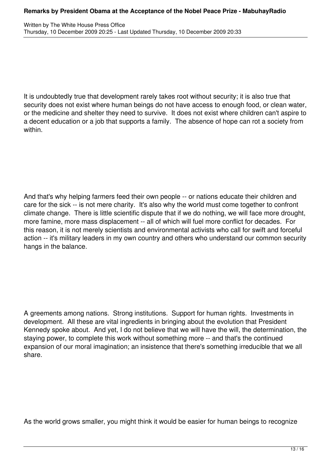It is undoubtedly true that development rarely takes root without security; it is also true that security does not exist where human beings do not have access to enough food, or clean water, or the medicine and shelter they need to survive. It does not exist where children can't aspire to a decent education or a job that supports a family. The absence of hope can rot a society from within.

And that's why helping farmers feed their own people -- or nations educate their children and care for the sick -- is not mere charity. It's also why the world must come together to confront climate change. There is little scientific dispute that if we do nothing, we will face more drought, more famine, more mass displacement -- all of which will fuel more conflict for decades. For this reason, it is not merely scientists and environmental activists who call for swift and forceful action -- it's military leaders in my own country and others who understand our common security hangs in the balance.

A greements among nations. Strong institutions. Support for human rights. Investments in development. All these are vital ingredients in bringing about the evolution that President Kennedy spoke about. And yet, I do not believe that we will have the will, the determination, the staying power, to complete this work without something more -- and that's the continued expansion of our moral imagination; an insistence that there's something irreducible that we all share.

As the world grows smaller, you might think it would be easier for human beings to recognize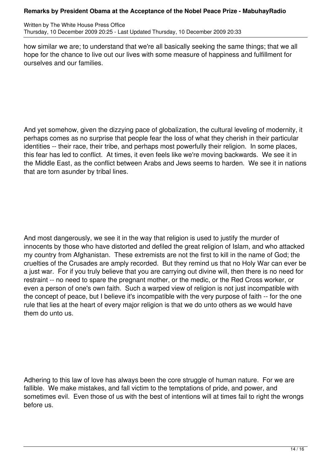Written by The White House Press Office Thursday, 10 December 2009 20:25 - Last Updated Thursday, 10 December 2009 20:33

how similar we are; to understand that we're all basically seeking the same things; that we all hope for the chance to live out our lives with some measure of happiness and fulfillment for ourselves and our families.

And yet somehow, given the dizzying pace of globalization, the cultural leveling of modernity, it perhaps comes as no surprise that people fear the loss of what they cherish in their particular identities -- their race, their tribe, and perhaps most powerfully their religion. In some places, this fear has led to conflict. At times, it even feels like we're moving backwards. We see it in the Middle East, as the conflict between Arabs and Jews seems to harden. We see it in nations that are torn asunder by tribal lines.

And most dangerously, we see it in the way that religion is used to justify the murder of innocents by those who have distorted and defiled the great religion of Islam, and who attacked my country from Afghanistan. These extremists are not the first to kill in the name of God; the cruelties of the Crusades are amply recorded. But they remind us that no Holy War can ever be a just war. For if you truly believe that you are carrying out divine will, then there is no need for restraint -- no need to spare the pregnant mother, or the medic, or the Red Cross worker, or even a person of one's own faith. Such a warped view of religion is not just incompatible with the concept of peace, but I believe it's incompatible with the very purpose of faith -- for the one rule that lies at the heart of every major religion is that we do unto others as we would have them do unto us.

Adhering to this law of love has always been the core struggle of human nature. For we are fallible. We make mistakes, and fall victim to the temptations of pride, and power, and sometimes evil. Even those of us with the best of intentions will at times fail to right the wrongs before us.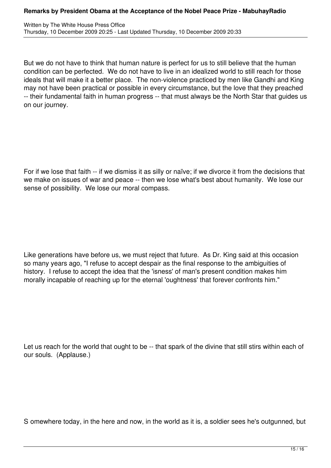But we do not have to think that human nature is perfect for us to still believe that the human condition can be perfected. We do not have to live in an idealized world to still reach for those ideals that will make it a better place. The non-violence practiced by men like Gandhi and King may not have been practical or possible in every circumstance, but the love that they preached -- their fundamental faith in human progress -- that must always be the North Star that guides us on our journey.

For if we lose that faith -- if we dismiss it as silly or naïve; if we divorce it from the decisions that we make on issues of war and peace -- then we lose what's best about humanity. We lose our sense of possibility. We lose our moral compass.

Like generations have before us, we must reject that future. As Dr. King said at this occasion so many years ago, "I refuse to accept despair as the final response to the ambiguities of history. I refuse to accept the idea that the 'isness' of man's present condition makes him morally incapable of reaching up for the eternal 'oughtness' that forever confronts him."

Let us reach for the world that ought to be -- that spark of the divine that still stirs within each of our souls. (Applause.)

S omewhere today, in the here and now, in the world as it is, a soldier sees he's outgunned, but